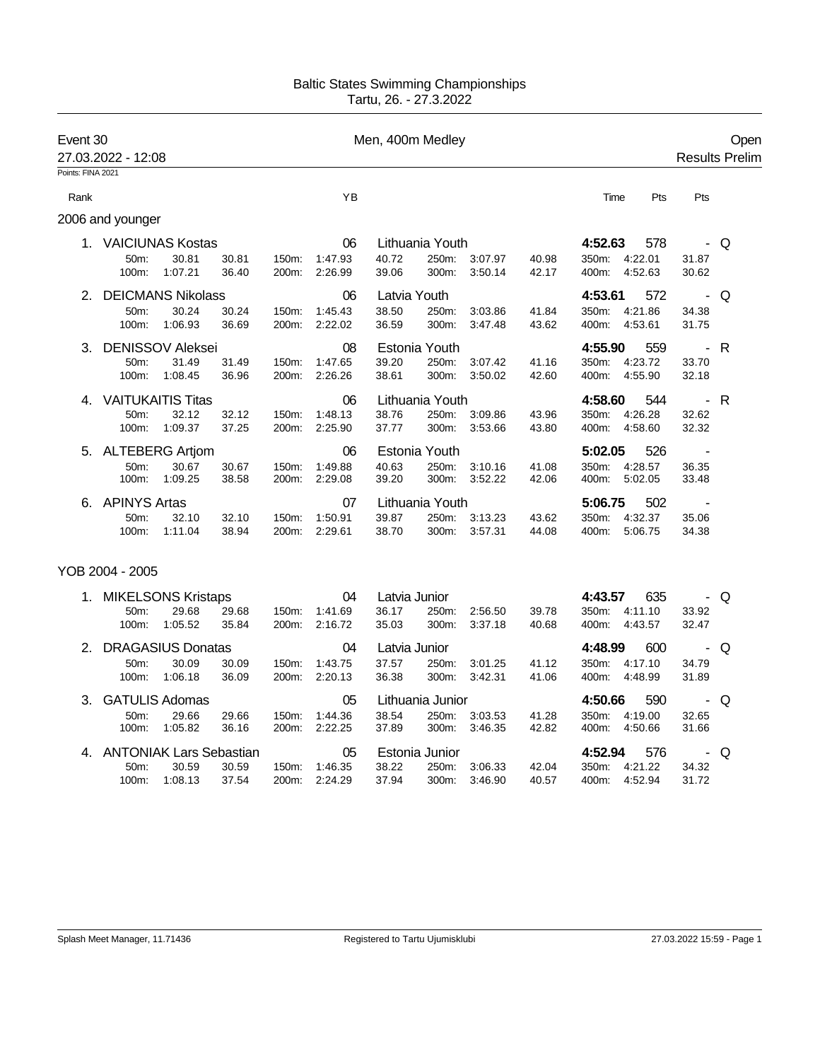## Baltic States Swimming Championships Tartu, 26. - 27.3.2022

| Event 30                  | 27.03.2022 - 12:08                                |                  |                |                |                          | Men, 400m Medley               |                                 |                          | Open<br><b>Results Prelim</b> |                                                        |                          |     |
|---------------------------|---------------------------------------------------|------------------|----------------|----------------|--------------------------|--------------------------------|---------------------------------|--------------------------|-------------------------------|--------------------------------------------------------|--------------------------|-----|
| Points: FINA 2021<br>Rank |                                                   |                  |                |                | YB                       |                                |                                 |                          |                               | Pts<br>Time                                            | Pts                      |     |
|                           | 2006 and younger                                  |                  |                |                |                          |                                |                                 |                          |                               |                                                        |                          |     |
|                           | 1. VAICIUNAS Kostas<br>50 <sub>m</sub> :<br>100m: | 30.81<br>1:07.21 | 30.81<br>36.40 | 150m:<br>200m: | 06<br>1:47.93<br>2:26.99 | 40.72<br>39.06                 | Lithuania Youth<br>300m:        | 250m: 3:07.97<br>3:50.14 | 40.98<br>42.17                | 4:52.63<br>578<br>350m:<br>4:22.01<br>4:52.63<br>400m: | 31.87<br>30.62           | - Q |
|                           | <b>DEICMANS Nikolass</b><br>50m:<br>100m:         | 30.24<br>1:06.93 | 30.24<br>36.69 | 150m:<br>200m: | 06<br>1:45.43<br>2:22.02 | Latvia Youth<br>38.50<br>36.59 | 250m:<br>300m:                  | 3:03.86<br>3:47.48       | 41.84<br>43.62                | 4:53.61<br>572<br>350m:<br>4:21.86<br>4:53.61<br>400m: | 34.38<br>31.75           | - Q |
| 3.                        | <b>DENISSOV Aleksei</b><br>50m:<br>100m:          | 31.49<br>1:08.45 | 31.49<br>36.96 | 150m:<br>200m: | 08<br>1:47.65<br>2:26.26 | 39.20<br>38.61                 | Estonia Youth<br>250m:<br>300m: | 3:07.42<br>3:50.02       | 41.16<br>42.60                | 4:55.90<br>559<br>4:23.72<br>350m:<br>400m:<br>4:55.90 | 33.70<br>32.18           | - R |
| 4.                        | <b>VAITUKAITIS Titas</b><br>50m:<br>100m:         | 32.12<br>1:09.37 | 32.12<br>37.25 | 150m:<br>200m: | 06<br>1:48.13<br>2:25.90 | 38.76<br>37.77                 | Lithuania Youth<br>300m:        | 250m: 3:09.86<br>3:53.66 | 43.96<br>43.80                | 4:58.60<br>544<br>350m:<br>4:26.28<br>400m:<br>4:58.60 | $- R$<br>32.62<br>32.32  |     |
|                           | 5. ALTEBERG Artjom<br>50m:<br>100m:               | 30.67<br>1:09.25 | 30.67<br>38.58 | 150m:<br>200m: | 06<br>1:49.88<br>2:29.08 | 40.63<br>39.20                 | Estonia Youth<br>250m:<br>300m: | 3:10.16<br>3:52.22       | 41.08<br>42.06                | 5:02.05<br>526<br>350m:<br>4:28.57<br>400m:<br>5:02.05 | $\sim$<br>36.35<br>33.48 |     |
| 6.                        | <b>APINYS Artas</b><br>50m:<br>100m:              | 32.10<br>1:11.04 | 32.10<br>38.94 | 150m:<br>200m: | 07<br>1:50.91<br>2:29.61 | 39.87<br>38.70                 | Lithuania Youth<br>300m:        | 250m: 3:13.23<br>3:57.31 | 43.62<br>44.08                | 5:06.75<br>502<br>350m: 4:32.37<br>5:06.75<br>400m:    | 35.06<br>34.38           |     |
|                           | YOB 2004 - 2005                                   |                  |                |                |                          |                                |                                 |                          |                               |                                                        |                          |     |
|                           | 1. MIKELSONS Kristaps<br>50m:                     | 29.68            | 29.68          | 150m:          | 04<br>1:41.69            | Latvia Junior<br>36.17         | 250m:                           | 2:56.50                  | 39.78                         | 635<br>4:43.57<br>350m: 4:11.10                        | 33.92                    | Q   |

| T. TVIINELOUNO NIISIADS    |         |               |                    | υΨ      | Laivia Juliiui   |                |         | 4.49.97 | ပသ             |         | ∍ ש   |     |
|----------------------------|---------|---------------|--------------------|---------|------------------|----------------|---------|---------|----------------|---------|-------|-----|
| $50m$ :                    | 29.68   | 29.68         | $150m$ :           | 1:41.69 | 36.17            | 250m:          | 2:56.50 | 39.78   | 350m:          | 4:11.10 | 33.92 |     |
| $100m$ :                   | 1:05.52 | 35.84         | 200 <sub>m</sub> : | 2:16.72 | 35.03            | $300m$ :       | 3:37.18 | 40.68   | 400m:          | 4:43.57 | 32.47 |     |
| 2. DRAGASIUS Donatas       | 04      | Latvia Junior |                    |         |                  | 4:48.99<br>600 |         |         | - Q            |         |       |     |
| $50m$ :                    | 30.09   | 30.09         | $150m$ :           | 1:43.75 | 37.57            | 250m:          | 3:01.25 | 41.12   | 350m:          | 4:17.10 | 34.79 |     |
| $100m$ :                   | 1:06.18 | 36.09         | 200 <sub>m</sub> : | 2:20.13 | 36.38            | $300m$ :       | 3:42.31 | 41.06   | $400m$ :       | 4:48.99 | 31.89 |     |
| 3. GATULIS Adomas          |         |               |                    | 05      | Lithuania Junior |                |         |         | 4:50.66<br>590 |         |       | - Q |
| $50m$ :                    | 29.66   | 29.66         | 150m:              | 1:44.36 | 38.54            | 250m:          | 3:03.53 | 41.28   | 350m:          | 4:19.00 | 32.65 |     |
| $100m$ :                   | 1:05.82 | 36.16         | 200 <sub>m</sub> : | 2:22.25 | 37.89            | $300m$ :       | 3:46.35 | 42.82   | $400m$ :       | 4:50.66 | 31.66 |     |
| 4. ANTONIAK Lars Sebastian |         |               |                    | 05      |                  | Estonia Junior |         | 4:52.94 | 576            |         | - Q   |     |
|                            |         |               |                    |         |                  |                |         |         |                |         |       |     |
| $50m$ :                    | 30.59   | 30.59         | $150m$ :           | 1:46.35 | 38.22            | 250m:          | 3:06.33 | 42.04   | 350m:          | 4:21.22 | 34.32 |     |